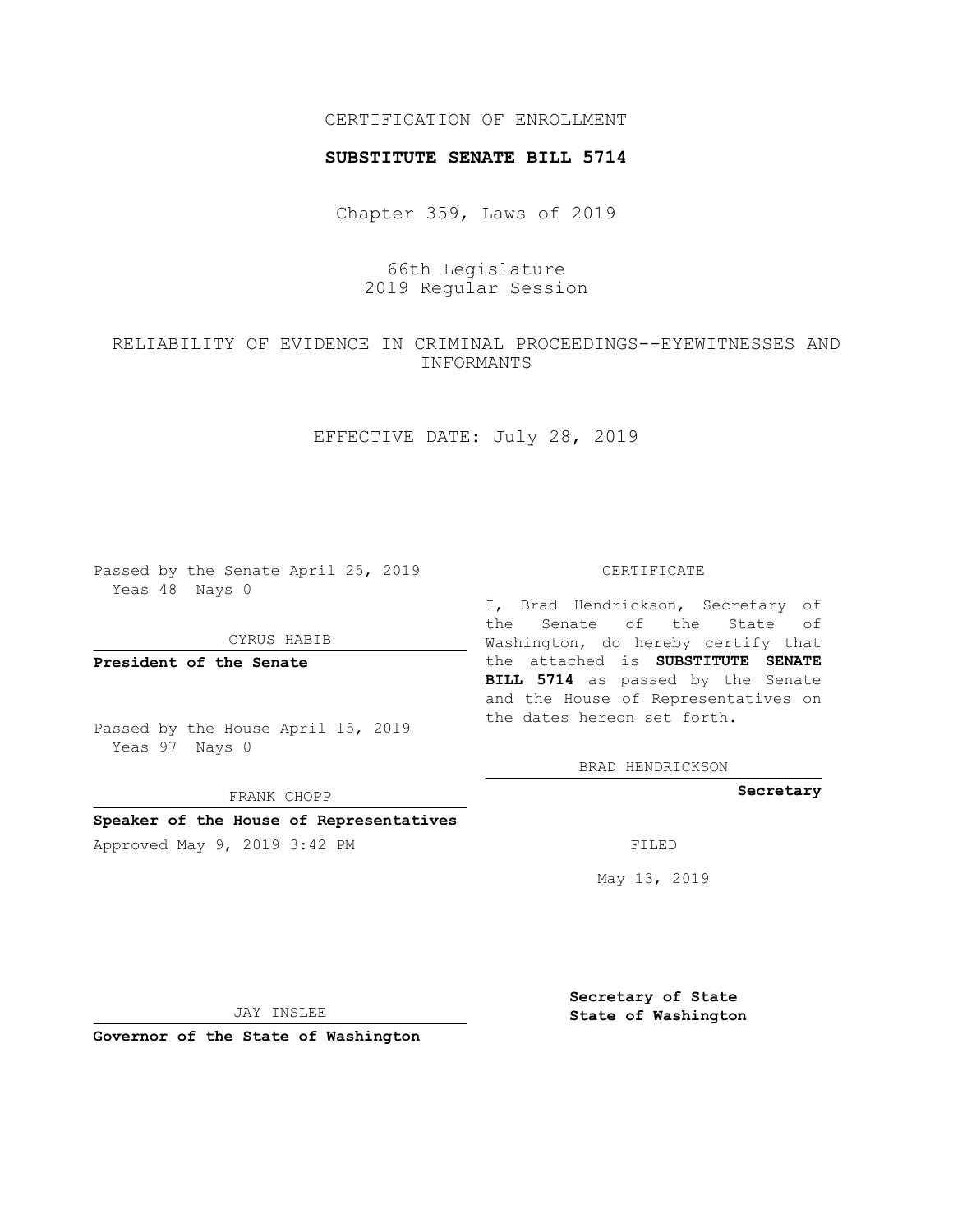## CERTIFICATION OF ENROLLMENT

### **SUBSTITUTE SENATE BILL 5714**

Chapter 359, Laws of 2019

66th Legislature 2019 Regular Session

RELIABILITY OF EVIDENCE IN CRIMINAL PROCEEDINGS--EYEWITNESSES AND INFORMANTS

EFFECTIVE DATE: July 28, 2019

Passed by the Senate April 25, 2019 Yeas 48 Nays 0

CYRUS HABIB

**President of the Senate**

Passed by the House April 15, 2019 Yeas 97 Nays 0

FRANK CHOPP

**Speaker of the House of Representatives**

Approved May 9, 2019 3:42 PM FILED

#### CERTIFICATE

I, Brad Hendrickson, Secretary of the Senate of the State of Washington, do hereby certify that the attached is **SUBSTITUTE SENATE BILL 5714** as passed by the Senate and the House of Representatives on the dates hereon set forth.

BRAD HENDRICKSON

**Secretary**

May 13, 2019

JAY INSLEE

**Governor of the State of Washington**

**Secretary of State State of Washington**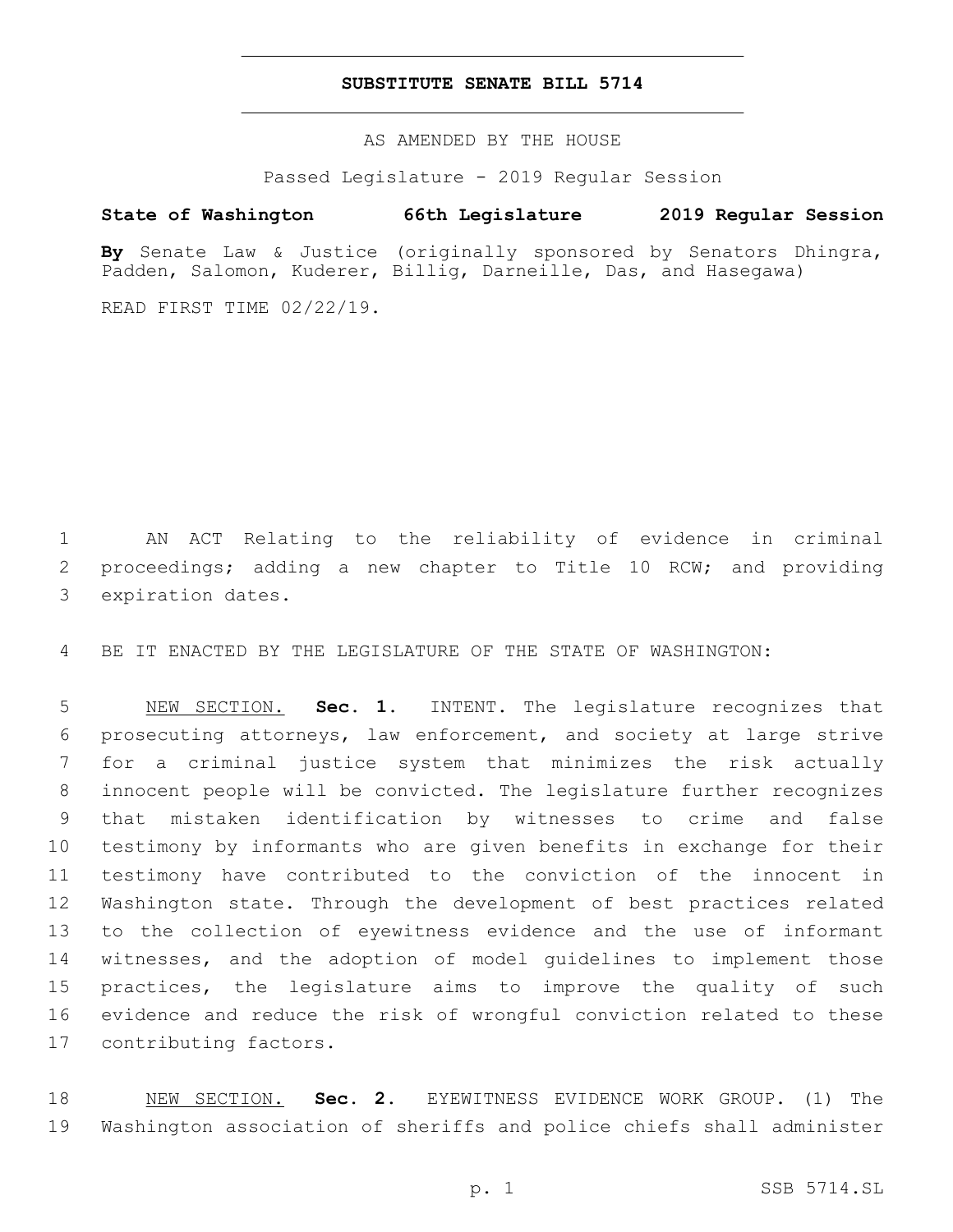## **SUBSTITUTE SENATE BILL 5714**

AS AMENDED BY THE HOUSE

Passed Legislature - 2019 Regular Session

# **State of Washington 66th Legislature 2019 Regular Session**

**By** Senate Law & Justice (originally sponsored by Senators Dhingra, Padden, Salomon, Kuderer, Billig, Darneille, Das, and Hasegawa)

READ FIRST TIME 02/22/19.

 AN ACT Relating to the reliability of evidence in criminal proceedings; adding a new chapter to Title 10 RCW; and providing 3 expiration dates.

BE IT ENACTED BY THE LEGISLATURE OF THE STATE OF WASHINGTON:

 NEW SECTION. **Sec. 1.** INTENT. The legislature recognizes that prosecuting attorneys, law enforcement, and society at large strive for a criminal justice system that minimizes the risk actually innocent people will be convicted. The legislature further recognizes that mistaken identification by witnesses to crime and false testimony by informants who are given benefits in exchange for their testimony have contributed to the conviction of the innocent in Washington state. Through the development of best practices related to the collection of eyewitness evidence and the use of informant witnesses, and the adoption of model guidelines to implement those practices, the legislature aims to improve the quality of such evidence and reduce the risk of wrongful conviction related to these contributing factors.

 NEW SECTION. **Sec. 2.** EYEWITNESS EVIDENCE WORK GROUP. (1) The Washington association of sheriffs and police chiefs shall administer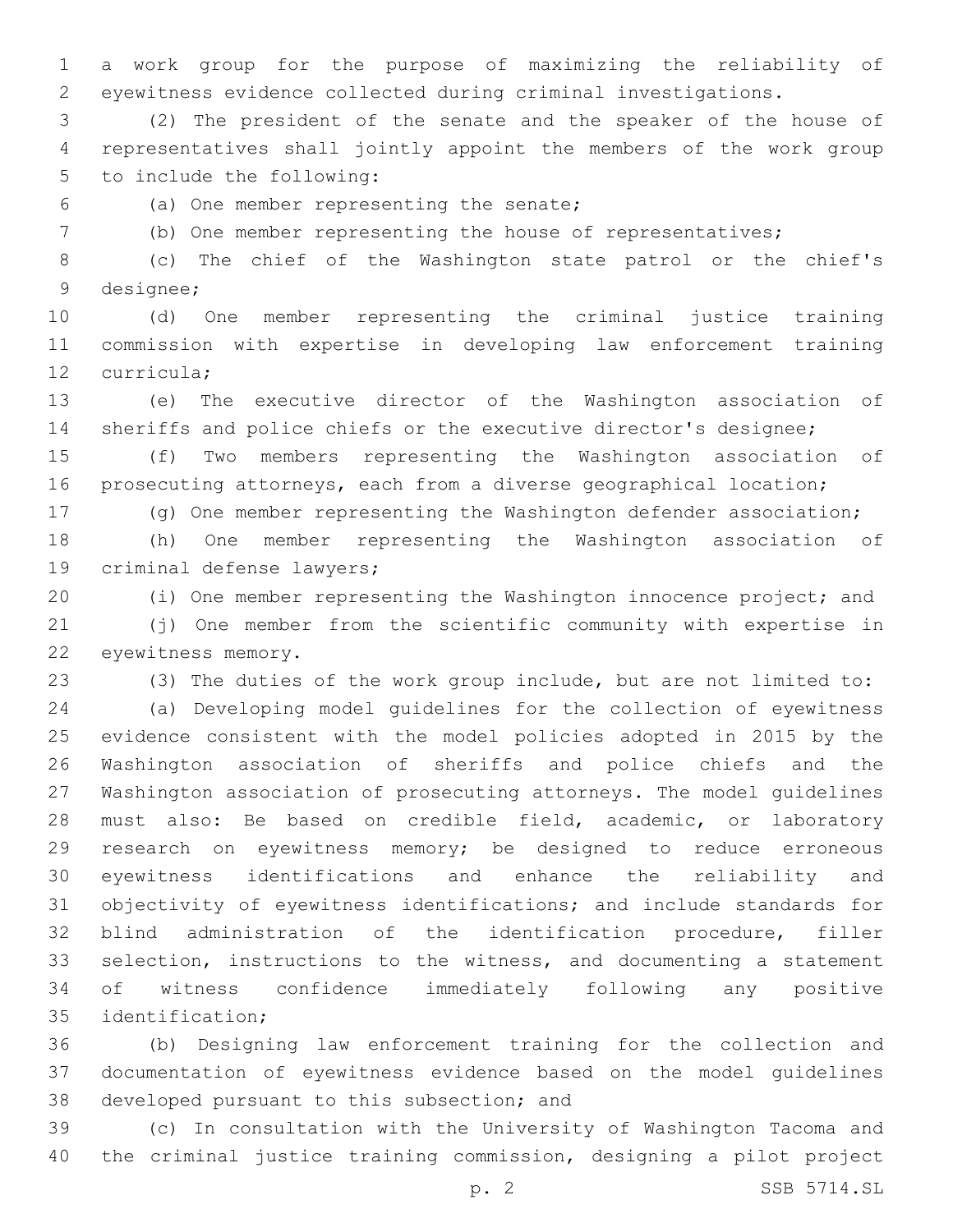a work group for the purpose of maximizing the reliability of eyewitness evidence collected during criminal investigations.

 (2) The president of the senate and the speaker of the house of representatives shall jointly appoint the members of the work group 5 to include the following:

(a) One member representing the senate;6

(b) One member representing the house of representatives;

 (c) The chief of the Washington state patrol or the chief's 9 designee;

 (d) One member representing the criminal justice training commission with expertise in developing law enforcement training 12 curricula:

 (e) The executive director of the Washington association of sheriffs and police chiefs or the executive director's designee;

 (f) Two members representing the Washington association of prosecuting attorneys, each from a diverse geographical location;

(g) One member representing the Washington defender association;

 (h) One member representing the Washington association of 19 criminal defense lawyers;

(i) One member representing the Washington innocence project; and

 (j) One member from the scientific community with expertise in 22 eyewitness memory.

(3) The duties of the work group include, but are not limited to:

 (a) Developing model guidelines for the collection of eyewitness evidence consistent with the model policies adopted in 2015 by the Washington association of sheriffs and police chiefs and the Washington association of prosecuting attorneys. The model guidelines must also: Be based on credible field, academic, or laboratory research on eyewitness memory; be designed to reduce erroneous eyewitness identifications and enhance the reliability and objectivity of eyewitness identifications; and include standards for blind administration of the identification procedure, filler selection, instructions to the witness, and documenting a statement of witness confidence immediately following any positive 35 identification;

 (b) Designing law enforcement training for the collection and documentation of eyewitness evidence based on the model guidelines 38 developed pursuant to this subsection; and

 (c) In consultation with the University of Washington Tacoma and the criminal justice training commission, designing a pilot project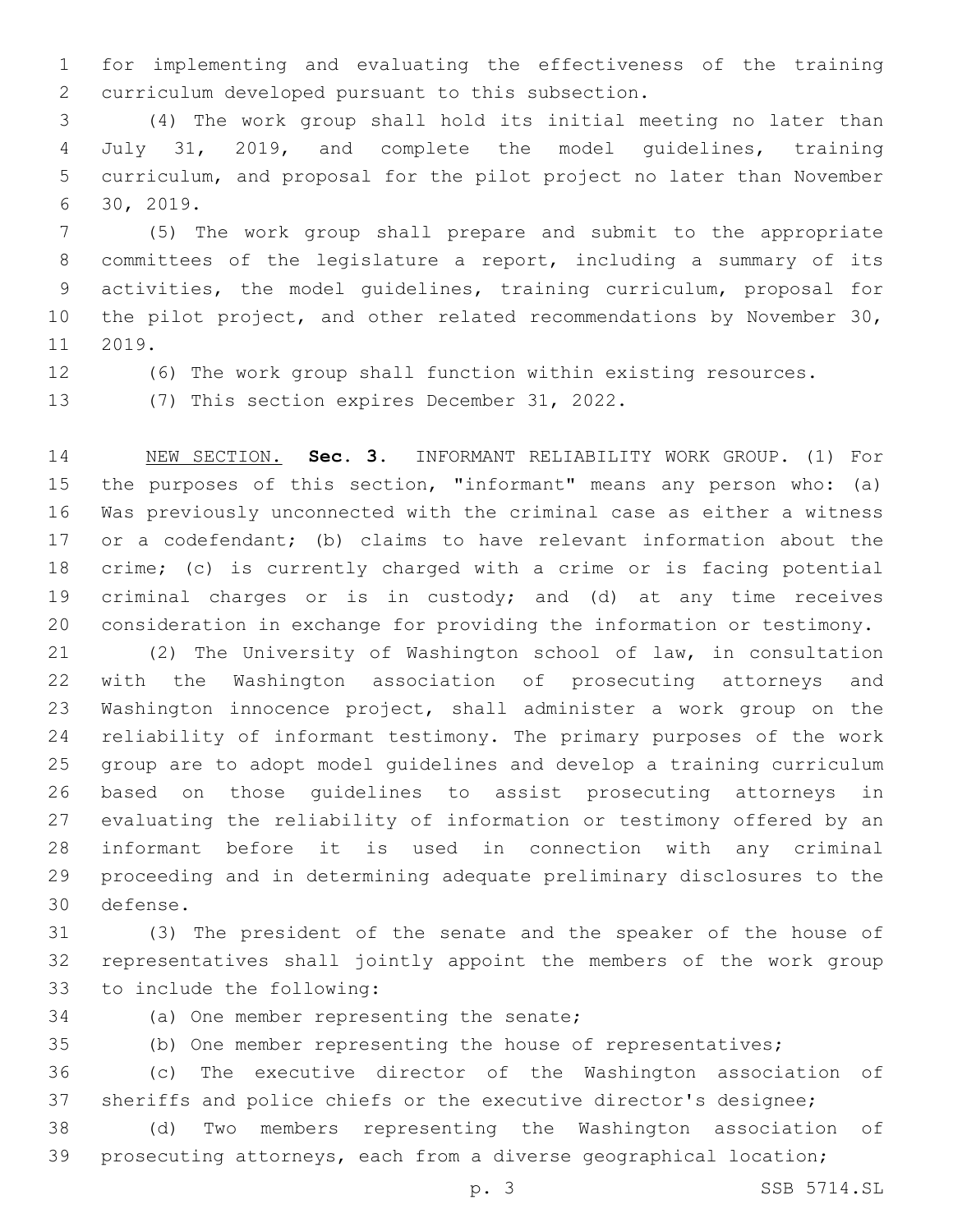for implementing and evaluating the effectiveness of the training 2 curriculum developed pursuant to this subsection.

 (4) The work group shall hold its initial meeting no later than July 31, 2019, and complete the model guidelines, training curriculum, and proposal for the pilot project no later than November 30, 2019.6

 (5) The work group shall prepare and submit to the appropriate committees of the legislature a report, including a summary of its activities, the model guidelines, training curriculum, proposal for 10 the pilot project, and other related recommendations by November 30, 11 2019.

(6) The work group shall function within existing resources.

13 (7) This section expires December 31, 2022.

 NEW SECTION. **Sec. 3.** INFORMANT RELIABILITY WORK GROUP. (1) For the purposes of this section, "informant" means any person who: (a) Was previously unconnected with the criminal case as either a witness 17 or a codefendant; (b) claims to have relevant information about the crime; (c) is currently charged with a crime or is facing potential criminal charges or is in custody; and (d) at any time receives consideration in exchange for providing the information or testimony.

 (2) The University of Washington school of law, in consultation with the Washington association of prosecuting attorneys and Washington innocence project, shall administer a work group on the reliability of informant testimony. The primary purposes of the work group are to adopt model guidelines and develop a training curriculum based on those guidelines to assist prosecuting attorneys in evaluating the reliability of information or testimony offered by an informant before it is used in connection with any criminal proceeding and in determining adequate preliminary disclosures to the 30 defense.

 (3) The president of the senate and the speaker of the house of representatives shall jointly appoint the members of the work group 33 to include the following:

34 (a) One member representing the senate;

(b) One member representing the house of representatives;

 (c) The executive director of the Washington association of sheriffs and police chiefs or the executive director's designee;

 (d) Two members representing the Washington association of prosecuting attorneys, each from a diverse geographical location;

p. 3 SSB 5714.SL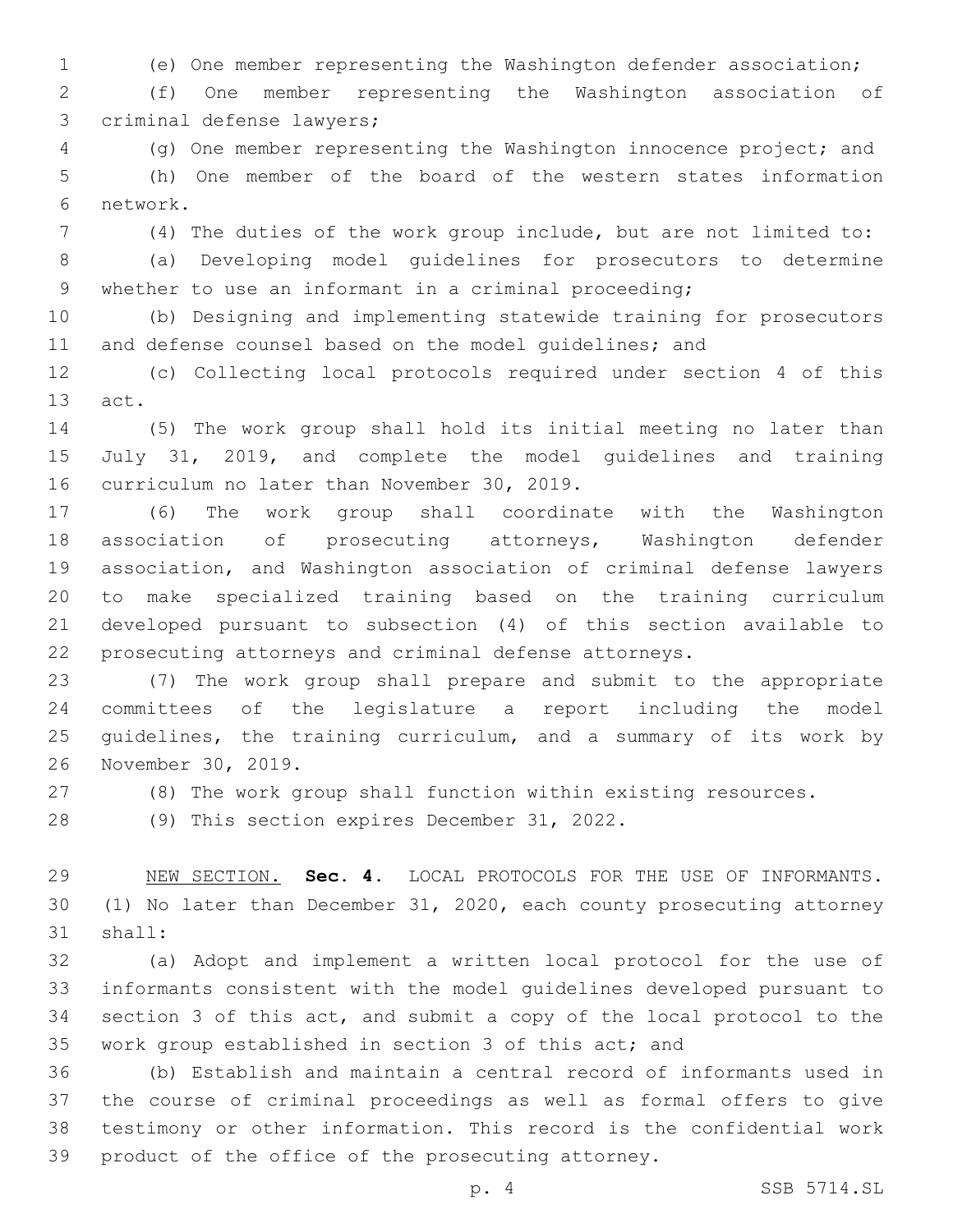(e) One member representing the Washington defender association;

 (f) One member representing the Washington association of 3 criminal defense lawyers;

 (g) One member representing the Washington innocence project; and (h) One member of the board of the western states information 6 network.

(4) The duties of the work group include, but are not limited to:

 (a) Developing model guidelines for prosecutors to determine whether to use an informant in a criminal proceeding;

 (b) Designing and implementing statewide training for prosecutors 11 and defense counsel based on the model quidelines; and

 (c) Collecting local protocols required under section 4 of this 13 act.

 (5) The work group shall hold its initial meeting no later than July 31, 2019, and complete the model guidelines and training 16 curriculum no later than November 30, 2019.

 (6) The work group shall coordinate with the Washington association of prosecuting attorneys, Washington defender association, and Washington association of criminal defense lawyers to make specialized training based on the training curriculum developed pursuant to subsection (4) of this section available to prosecuting attorneys and criminal defense attorneys.

 (7) The work group shall prepare and submit to the appropriate committees of the legislature a report including the model 25 quidelines, the training curriculum, and a summary of its work by 26 November 30, 2019.

(8) The work group shall function within existing resources.

28 (9) This section expires December 31, 2022.

 NEW SECTION. **Sec. 4.** LOCAL PROTOCOLS FOR THE USE OF INFORMANTS. (1) No later than December 31, 2020, each county prosecuting attorney shall:

 (a) Adopt and implement a written local protocol for the use of informants consistent with the model guidelines developed pursuant to section 3 of this act, and submit a copy of the local protocol to the work group established in section 3 of this act; and

 (b) Establish and maintain a central record of informants used in the course of criminal proceedings as well as formal offers to give testimony or other information. This record is the confidential work product of the office of the prosecuting attorney.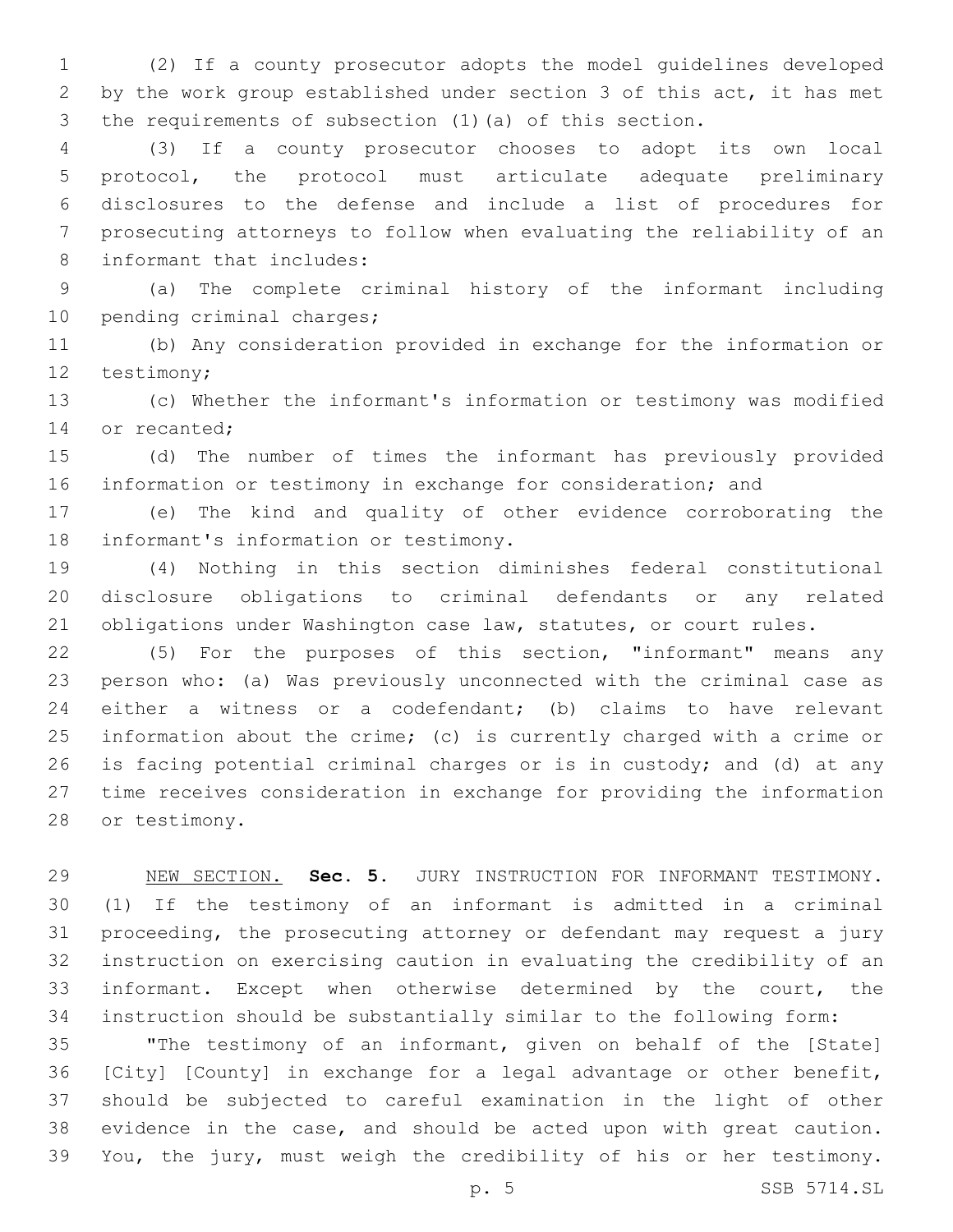(2) If a county prosecutor adopts the model guidelines developed by the work group established under section 3 of this act, it has met the requirements of subsection (1)(a) of this section.

 (3) If a county prosecutor chooses to adopt its own local protocol, the protocol must articulate adequate preliminary disclosures to the defense and include a list of procedures for prosecuting attorneys to follow when evaluating the reliability of an 8 informant that includes:

 (a) The complete criminal history of the informant including 10 pending criminal charges;

 (b) Any consideration provided in exchange for the information or 12 testimony;

 (c) Whether the informant's information or testimony was modified 14 or recanted;

 (d) The number of times the informant has previously provided 16 information or testimony in exchange for consideration; and

 (e) The kind and quality of other evidence corroborating the 18 informant's information or testimony.

 (4) Nothing in this section diminishes federal constitutional disclosure obligations to criminal defendants or any related 21 obligations under Washington case law, statutes, or court rules.

 (5) For the purposes of this section, "informant" means any person who: (a) Was previously unconnected with the criminal case as either a witness or a codefendant; (b) claims to have relevant information about the crime; (c) is currently charged with a crime or is facing potential criminal charges or is in custody; and (d) at any time receives consideration in exchange for providing the information 28 or testimony.

 NEW SECTION. **Sec. 5.** JURY INSTRUCTION FOR INFORMANT TESTIMONY. (1) If the testimony of an informant is admitted in a criminal proceeding, the prosecuting attorney or defendant may request a jury instruction on exercising caution in evaluating the credibility of an informant. Except when otherwise determined by the court, the instruction should be substantially similar to the following form:

 "The testimony of an informant, given on behalf of the [State] [City] [County] in exchange for a legal advantage or other benefit, should be subjected to careful examination in the light of other evidence in the case, and should be acted upon with great caution. You, the jury, must weigh the credibility of his or her testimony.